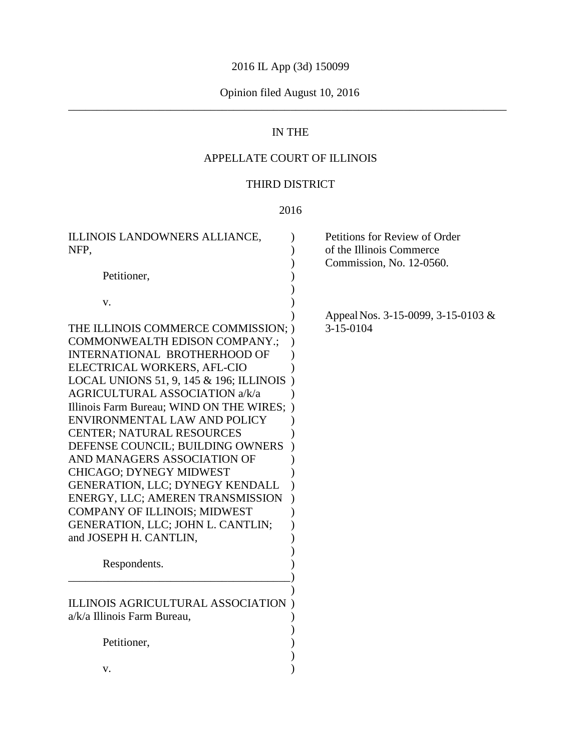# 2016 IL App (3d) 150099

## Opinion filed August 10, 2016 \_\_\_\_\_\_\_\_\_\_\_\_\_\_\_\_\_\_\_\_\_\_\_\_\_\_\_\_\_\_\_\_\_\_\_\_\_\_\_\_\_\_\_\_\_\_\_\_\_\_\_\_\_\_\_\_\_\_\_\_\_\_\_\_\_\_\_\_\_\_\_\_\_\_\_\_\_

# IN THE

# APPELLATE COURT OF ILLINOIS

## THIRD DISTRICT

| ILLINOIS LANDOWNERS ALLIANCE,<br>NFP,<br>Petitioner,                                                                                                                                                                                                                                                                                                                                                                                                                                                                                                                                                                                          | Petitions for Review of Order<br>of the Illinois Commerce<br>Commission, No. 12-0560. |
|-----------------------------------------------------------------------------------------------------------------------------------------------------------------------------------------------------------------------------------------------------------------------------------------------------------------------------------------------------------------------------------------------------------------------------------------------------------------------------------------------------------------------------------------------------------------------------------------------------------------------------------------------|---------------------------------------------------------------------------------------|
| V.<br>THE ILLINOIS COMMERCE COMMISSION; )<br><b>COMMONWEALTH EDISON COMPANY.;</b><br>INTERNATIONAL BROTHERHOOD OF<br>ELECTRICAL WORKERS, AFL-CIO<br>LOCAL UNIONS 51, 9, 145 & 196; ILLINOIS<br><b>AGRICULTURAL ASSOCIATION a/k/a</b><br>Illinois Farm Bureau; WIND ON THE WIRES;<br>ENVIRONMENTAL LAW AND POLICY<br><b>CENTER; NATURAL RESOURCES</b><br>DEFENSE COUNCIL; BUILDING OWNERS<br>AND MANAGERS ASSOCIATION OF<br><b>CHICAGO; DYNEGY MIDWEST</b><br><b>GENERATION, LLC; DYNEGY KENDALL</b><br>ENERGY, LLC; AMEREN TRANSMISSION<br><b>COMPANY OF ILLINOIS; MIDWEST</b><br>GENERATION, LLC; JOHN L. CANTLIN;<br>and JOSEPH H. CANTLIN, | Appeal Nos. 3-15-0099, 3-15-0103 &<br>$3 - 15 - 0104$                                 |
| Respondents.                                                                                                                                                                                                                                                                                                                                                                                                                                                                                                                                                                                                                                  |                                                                                       |
| <b>ILLINOIS AGRICULTURAL ASSOCIATION</b><br>a/k/a Illinois Farm Bureau,                                                                                                                                                                                                                                                                                                                                                                                                                                                                                                                                                                       |                                                                                       |
| Petitioner,                                                                                                                                                                                                                                                                                                                                                                                                                                                                                                                                                                                                                                   |                                                                                       |
| V.                                                                                                                                                                                                                                                                                                                                                                                                                                                                                                                                                                                                                                            |                                                                                       |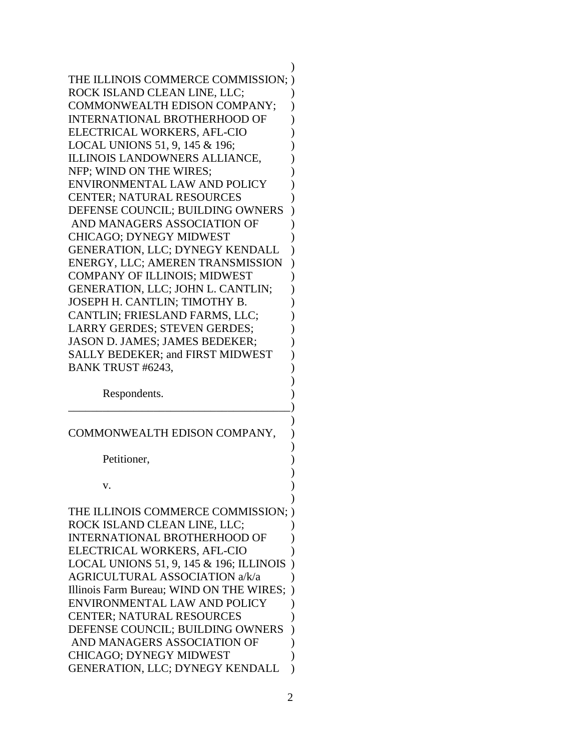THE ILLINOIS COMMERCE COMMISSION; ) ROCK ISLAND CLEAN LINE, LLC; COMMONWEALTH EDISON COMPANY; ) INTERNATIONAL BROTHERHOOD OF  $\qquad$  ) ELECTRICAL WORKERS, AFL-CIO ) LOCAL UNIONS 51, 9, 145 & 196; ) ILLINOIS LANDOWNERS ALLIANCE, ) NFP; WIND ON THE WIRES; ) ENVIRONMENTAL LAW AND POLICY ) CENTER; NATURAL RESOURCES ) DEFENSE COUNCIL; BUILDING OWNERS ) AND MANAGERS ASSOCIATION OF CHICAGO; DYNEGY MIDWEST ) GENERATION, LLC; DYNEGY KENDALL ) ENERGY, LLC; AMEREN TRANSMISSION ) COMPANY OF ILLINOIS; MIDWEST ) GENERATION, LLC; JOHN L. CANTLIN; ) JOSEPH H. CANTLIN; TIMOTHY B. ) CANTLIN; FRIESLAND FARMS, LLC; ) LARRY GERDES; STEVEN GERDES; JASON D. JAMES; JAMES BEDEKER; SALLY BEDEKER; and FIRST MIDWEST BANK TRUST #6243.  $)$ 

Respondents.

COMMONWEALTH EDISON COMPANY, )

\_\_\_\_\_\_\_\_\_\_\_\_\_\_\_\_\_\_\_\_\_\_\_\_\_\_\_\_\_\_\_\_\_\_\_\_\_\_\_ )  $)$ 

 $)$ 

 $)$ 

 $)$ 

Petitioner,

v. )

THE ILLINOIS COMMERCE COMMISSION; ) ROCK ISLAND CLEAN LINE, LLC; ) INTERNATIONAL BROTHERHOOD OF ) ELECTRICAL WORKERS, AFL-CIO ) LOCAL UNIONS 51, 9, 145 & 196; ILLINOIS ) AGRICULTURAL ASSOCIATION a/k/a ) Illinois Farm Bureau; WIND ON THE WIRES; ) ENVIRONMENTAL LAW AND POLICY ) CENTER; NATURAL RESOURCES ) DEFENSE COUNCIL; BUILDING OWNERS ) AND MANAGERS ASSOCIATION OF  $\hspace{1cm}$  ) CHICAGO; DYNEGY MIDWEST ) GENERATION, LLC; DYNEGY KENDALL )

)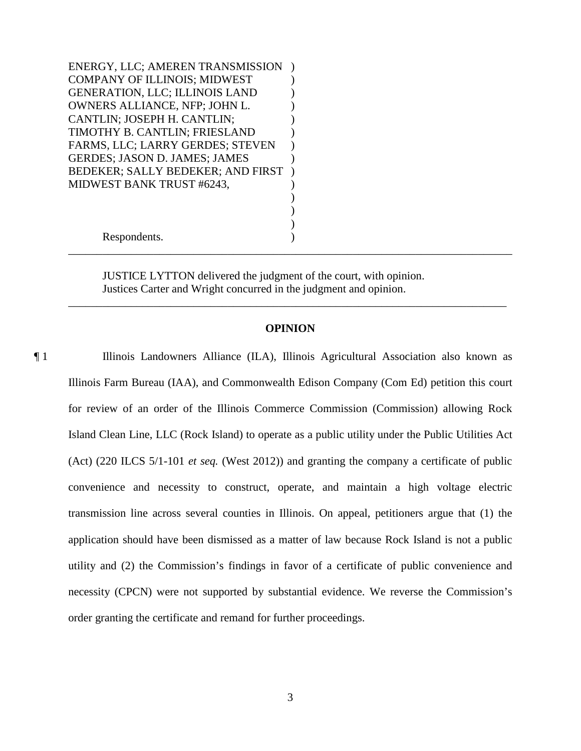| ENERGY, LLC; AMEREN TRANSMISSION         |  |
|------------------------------------------|--|
| COMPANY OF ILLINOIS; MIDWEST             |  |
| <b>GENERATION, LLC; ILLINOIS LAND</b>    |  |
| OWNERS ALLIANCE, NFP; JOHN L.            |  |
| CANTLIN; JOSEPH H. CANTLIN;              |  |
| TIMOTHY B. CANTLIN; FRIESLAND            |  |
| FARMS, LLC; LARRY GERDES; STEVEN         |  |
| <b>GERDES: JASON D. JAMES: JAMES</b>     |  |
| <b>BEDEKER; SALLY BEDEKER; AND FIRST</b> |  |
| <b>MIDWEST BANK TRUST #6243,</b>         |  |
|                                          |  |
|                                          |  |
|                                          |  |
| Respondents.                             |  |

JUSTICE LYTTON delivered the judgment of the court, with opinion.

Justices Carter and Wright concurred in the judgment and opinion.

#### **OPINION**

\_\_\_\_\_\_\_\_\_\_\_\_\_\_\_\_\_\_\_\_\_\_\_\_\_\_\_\_\_\_\_\_\_\_\_\_\_\_\_\_\_\_\_\_\_\_\_\_\_\_\_\_\_\_\_\_\_\_\_\_\_\_\_\_\_\_\_\_\_\_\_\_\_\_\_\_\_

\_\_\_\_\_\_\_\_\_\_\_\_\_\_\_\_\_\_\_\_\_\_\_\_\_\_\_\_\_\_\_\_\_\_\_\_\_\_\_\_\_\_\_\_\_\_\_\_\_\_\_\_\_\_\_\_\_\_\_\_\_\_\_\_\_\_\_\_\_\_\_\_\_\_\_\_\_\_

¶ 1 Illinois Landowners Alliance (ILA), Illinois Agricultural Association also known as Illinois Farm Bureau (IAA), and Commonwealth Edison Company (Com Ed) petition this court for review of an order of the Illinois Commerce Commission (Commission) allowing Rock Island Clean Line, LLC (Rock Island) to operate as a public utility under the Public Utilities Act (Act) (220 ILCS 5/1-101 *et seq.* (West 2012)) and granting the company a certificate of public convenience and necessity to construct, operate, and maintain a high voltage electric transmission line across several counties in Illinois. On appeal, petitioners argue that (1) the application should have been dismissed as a matter of law because Rock Island is not a public utility and (2) the Commission's findings in favor of a certificate of public convenience and necessity (CPCN) were not supported by substantial evidence. We reverse the Commission's order granting the certificate and remand for further proceedings.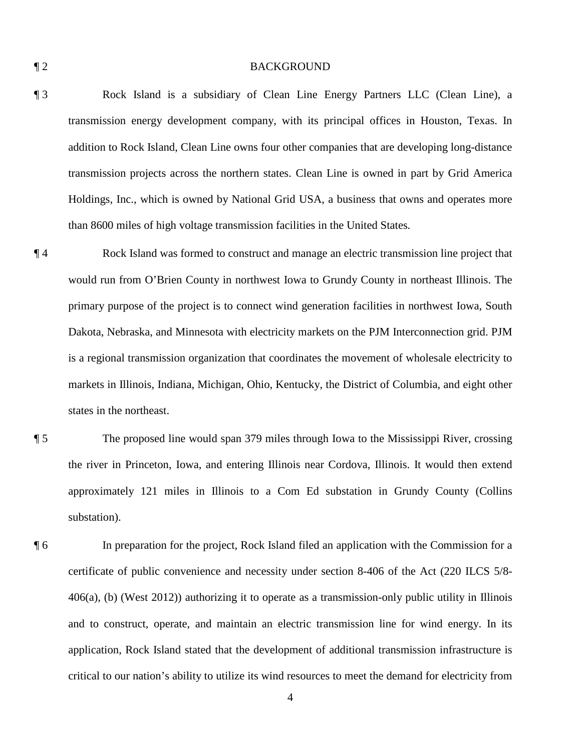#### ¶ 2 BACKGROUND

- ¶ 3 Rock Island is a subsidiary of Clean Line Energy Partners LLC (Clean Line), a transmission energy development company, with its principal offices in Houston, Texas. In addition to Rock Island, Clean Line owns four other companies that are developing long-distance transmission projects across the northern states. Clean Line is owned in part by Grid America Holdings, Inc., which is owned by National Grid USA, a business that owns and operates more than 8600 miles of high voltage transmission facilities in the United States.
- ¶ 4 Rock Island was formed to construct and manage an electric transmission line project that would run from O'Brien County in northwest Iowa to Grundy County in northeast Illinois. The primary purpose of the project is to connect wind generation facilities in northwest Iowa, South Dakota, Nebraska, and Minnesota with electricity markets on the PJM Interconnection grid. PJM is a regional transmission organization that coordinates the movement of wholesale electricity to markets in Illinois, Indiana, Michigan, Ohio, Kentucky, the District of Columbia, and eight other states in the northeast.
- ¶ 5 The proposed line would span 379 miles through Iowa to the Mississippi River, crossing the river in Princeton, Iowa, and entering Illinois near Cordova, Illinois. It would then extend approximately 121 miles in Illinois to a Com Ed substation in Grundy County (Collins substation).
- ¶ 6 In preparation for the project, Rock Island filed an application with the Commission for a certificate of public convenience and necessity under section 8-406 of the Act (220 ILCS 5/8- 406(a), (b) (West 2012)) authorizing it to operate as a transmission-only public utility in Illinois and to construct, operate, and maintain an electric transmission line for wind energy. In its application, Rock Island stated that the development of additional transmission infrastructure is critical to our nation's ability to utilize its wind resources to meet the demand for electricity from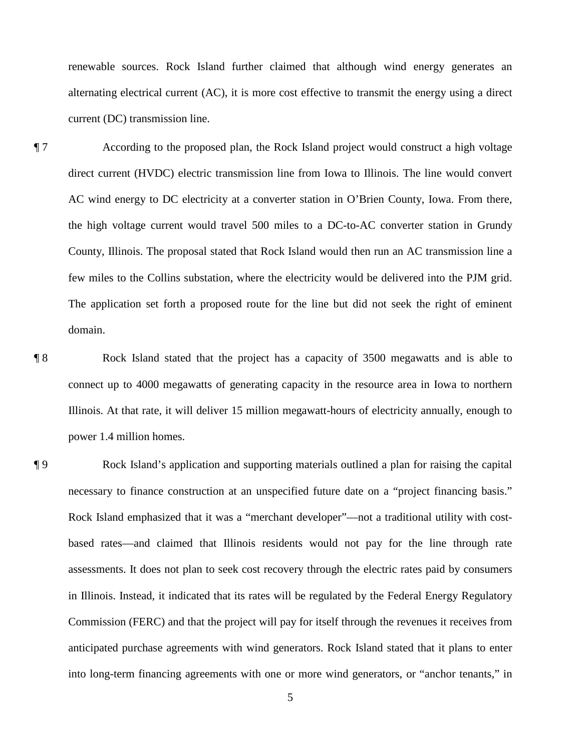renewable sources. Rock Island further claimed that although wind energy generates an alternating electrical current (AC), it is more cost effective to transmit the energy using a direct current (DC) transmission line.

- ¶ 7 According to the proposed plan, the Rock Island project would construct a high voltage direct current (HVDC) electric transmission line from Iowa to Illinois. The line would convert AC wind energy to DC electricity at a converter station in O'Brien County, Iowa. From there, the high voltage current would travel 500 miles to a DC-to-AC converter station in Grundy County, Illinois. The proposal stated that Rock Island would then run an AC transmission line a few miles to the Collins substation, where the electricity would be delivered into the PJM grid. The application set forth a proposed route for the line but did not seek the right of eminent domain.
- 

¶ 8 Rock Island stated that the project has a capacity of 3500 megawatts and is able to connect up to 4000 megawatts of generating capacity in the resource area in Iowa to northern Illinois. At that rate, it will deliver 15 million megawatt-hours of electricity annually, enough to power 1.4 million homes.

¶ 9 Rock Island's application and supporting materials outlined a plan for raising the capital necessary to finance construction at an unspecified future date on a "project financing basis." Rock Island emphasized that it was a "merchant developer"—not a traditional utility with costbased rates—and claimed that Illinois residents would not pay for the line through rate assessments. It does not plan to seek cost recovery through the electric rates paid by consumers in Illinois. Instead, it indicated that its rates will be regulated by the Federal Energy Regulatory Commission (FERC) and that the project will pay for itself through the revenues it receives from anticipated purchase agreements with wind generators. Rock Island stated that it plans to enter into long-term financing agreements with one or more wind generators, or "anchor tenants," in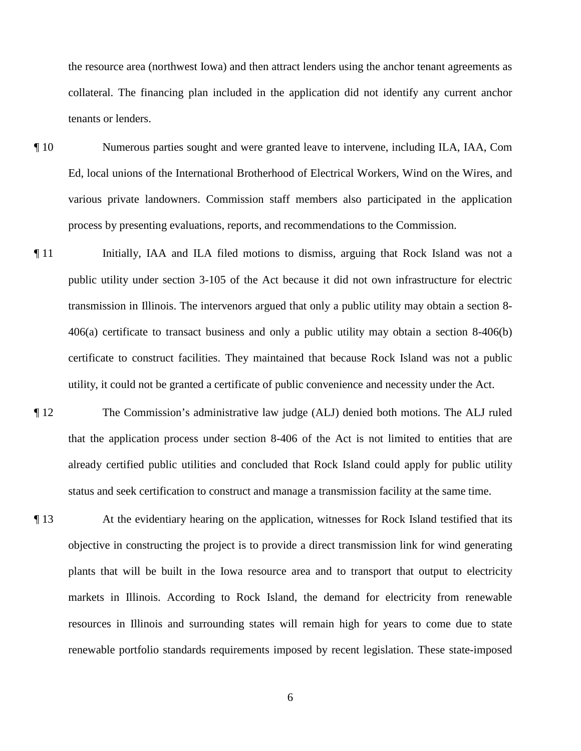the resource area (northwest Iowa) and then attract lenders using the anchor tenant agreements as collateral. The financing plan included in the application did not identify any current anchor tenants or lenders.

- ¶ 10 Numerous parties sought and were granted leave to intervene, including ILA, IAA, Com Ed, local unions of the International Brotherhood of Electrical Workers, Wind on the Wires, and various private landowners. Commission staff members also participated in the application process by presenting evaluations, reports, and recommendations to the Commission.
- ¶ 11 Initially, IAA and ILA filed motions to dismiss, arguing that Rock Island was not a public utility under section 3-105 of the Act because it did not own infrastructure for electric transmission in Illinois. The intervenors argued that only a public utility may obtain a section 8- 406(a) certificate to transact business and only a public utility may obtain a section 8-406(b) certificate to construct facilities. They maintained that because Rock Island was not a public utility, it could not be granted a certificate of public convenience and necessity under the Act.
- ¶ 12 The Commission's administrative law judge (ALJ) denied both motions. The ALJ ruled that the application process under section 8-406 of the Act is not limited to entities that are already certified public utilities and concluded that Rock Island could apply for public utility status and seek certification to construct and manage a transmission facility at the same time.
- ¶ 13 At the evidentiary hearing on the application, witnesses for Rock Island testified that its objective in constructing the project is to provide a direct transmission link for wind generating plants that will be built in the Iowa resource area and to transport that output to electricity markets in Illinois. According to Rock Island, the demand for electricity from renewable resources in Illinois and surrounding states will remain high for years to come due to state renewable portfolio standards requirements imposed by recent legislation. These state-imposed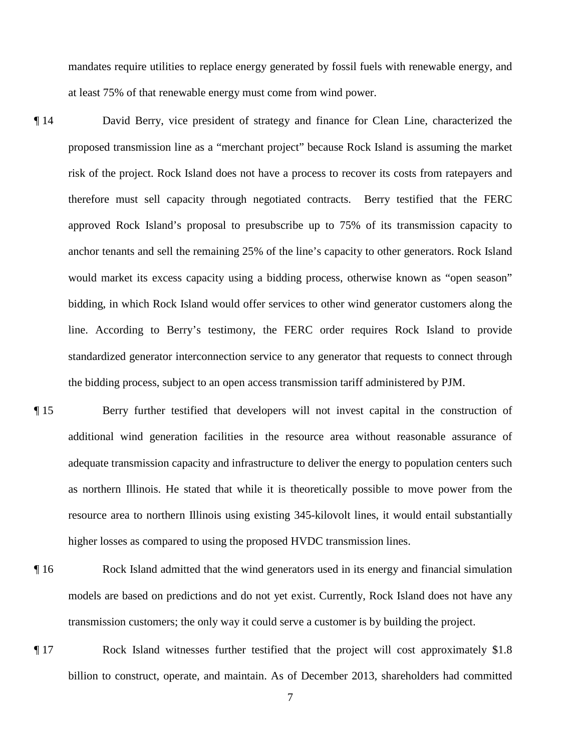mandates require utilities to replace energy generated by fossil fuels with renewable energy, and at least 75% of that renewable energy must come from wind power.

- ¶ 14 David Berry, vice president of strategy and finance for Clean Line, characterized the proposed transmission line as a "merchant project" because Rock Island is assuming the market risk of the project. Rock Island does not have a process to recover its costs from ratepayers and therefore must sell capacity through negotiated contracts. Berry testified that the FERC approved Rock Island's proposal to presubscribe up to 75% of its transmission capacity to anchor tenants and sell the remaining 25% of the line's capacity to other generators. Rock Island would market its excess capacity using a bidding process, otherwise known as "open season" bidding, in which Rock Island would offer services to other wind generator customers along the line. According to Berry's testimony, the FERC order requires Rock Island to provide standardized generator interconnection service to any generator that requests to connect through the bidding process, subject to an open access transmission tariff administered by PJM.
- ¶ 15 Berry further testified that developers will not invest capital in the construction of additional wind generation facilities in the resource area without reasonable assurance of adequate transmission capacity and infrastructure to deliver the energy to population centers such as northern Illinois. He stated that while it is theoretically possible to move power from the resource area to northern Illinois using existing 345-kilovolt lines, it would entail substantially higher losses as compared to using the proposed HVDC transmission lines.
- ¶ 16 Rock Island admitted that the wind generators used in its energy and financial simulation models are based on predictions and do not yet exist. Currently, Rock Island does not have any transmission customers; the only way it could serve a customer is by building the project.
- ¶ 17 Rock Island witnesses further testified that the project will cost approximately \$1.8 billion to construct, operate, and maintain. As of December 2013, shareholders had committed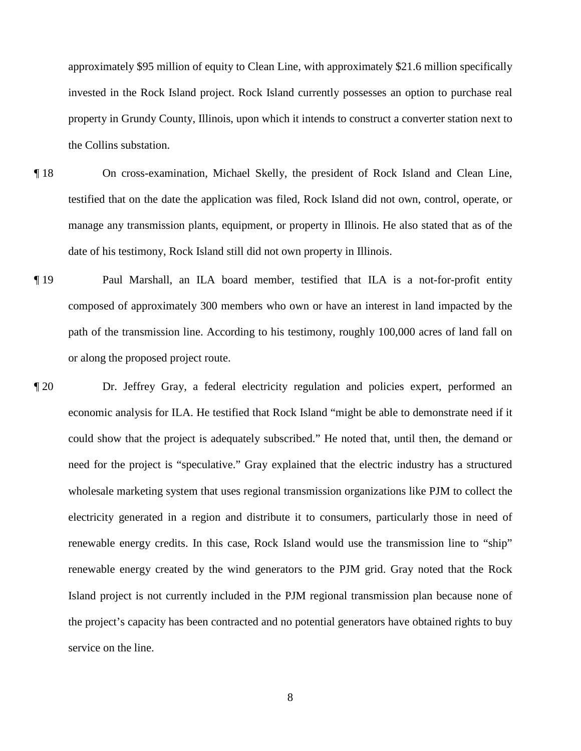approximately \$95 million of equity to Clean Line, with approximately \$21.6 million specifically invested in the Rock Island project. Rock Island currently possesses an option to purchase real property in Grundy County, Illinois, upon which it intends to construct a converter station next to the Collins substation.

- ¶ 18 On cross-examination, Michael Skelly, the president of Rock Island and Clean Line, testified that on the date the application was filed, Rock Island did not own, control, operate, or manage any transmission plants, equipment, or property in Illinois. He also stated that as of the date of his testimony, Rock Island still did not own property in Illinois.
- ¶ 19 Paul Marshall, an ILA board member, testified that ILA is a not-for-profit entity composed of approximately 300 members who own or have an interest in land impacted by the path of the transmission line. According to his testimony, roughly 100,000 acres of land fall on or along the proposed project route.
- ¶ 20 Dr. Jeffrey Gray, a federal electricity regulation and policies expert, performed an economic analysis for ILA. He testified that Rock Island "might be able to demonstrate need if it could show that the project is adequately subscribed." He noted that, until then, the demand or need for the project is "speculative." Gray explained that the electric industry has a structured wholesale marketing system that uses regional transmission organizations like PJM to collect the electricity generated in a region and distribute it to consumers, particularly those in need of renewable energy credits. In this case, Rock Island would use the transmission line to "ship" renewable energy created by the wind generators to the PJM grid. Gray noted that the Rock Island project is not currently included in the PJM regional transmission plan because none of the project's capacity has been contracted and no potential generators have obtained rights to buy service on the line.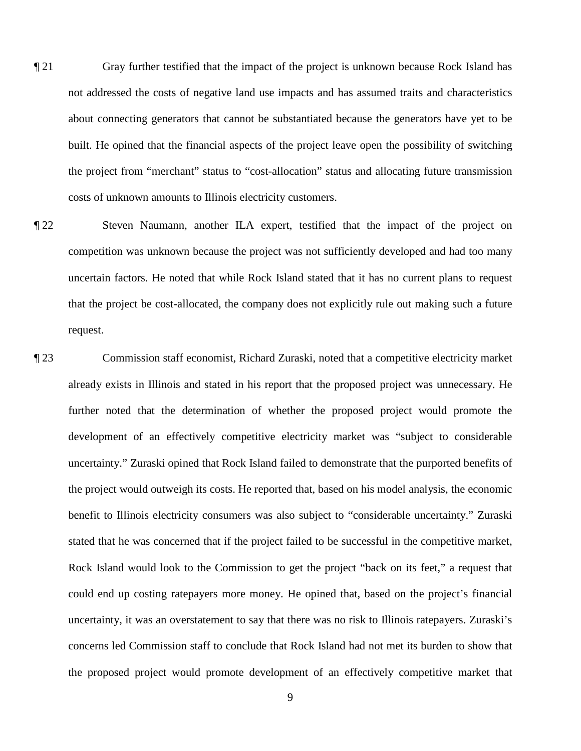- ¶ 21 Gray further testified that the impact of the project is unknown because Rock Island has not addressed the costs of negative land use impacts and has assumed traits and characteristics about connecting generators that cannot be substantiated because the generators have yet to be built. He opined that the financial aspects of the project leave open the possibility of switching the project from "merchant" status to "cost-allocation" status and allocating future transmission costs of unknown amounts to Illinois electricity customers.
- ¶ 22 Steven Naumann, another ILA expert, testified that the impact of the project on competition was unknown because the project was not sufficiently developed and had too many uncertain factors. He noted that while Rock Island stated that it has no current plans to request that the project be cost-allocated, the company does not explicitly rule out making such a future request.
- ¶ 23 Commission staff economist, Richard Zuraski, noted that a competitive electricity market already exists in Illinois and stated in his report that the proposed project was unnecessary. He further noted that the determination of whether the proposed project would promote the development of an effectively competitive electricity market was "subject to considerable uncertainty." Zuraski opined that Rock Island failed to demonstrate that the purported benefits of the project would outweigh its costs. He reported that, based on his model analysis, the economic benefit to Illinois electricity consumers was also subject to "considerable uncertainty." Zuraski stated that he was concerned that if the project failed to be successful in the competitive market, Rock Island would look to the Commission to get the project "back on its feet," a request that could end up costing ratepayers more money. He opined that, based on the project's financial uncertainty, it was an overstatement to say that there was no risk to Illinois ratepayers. Zuraski's concerns led Commission staff to conclude that Rock Island had not met its burden to show that

the proposed project would promote development of an effectively competitive market that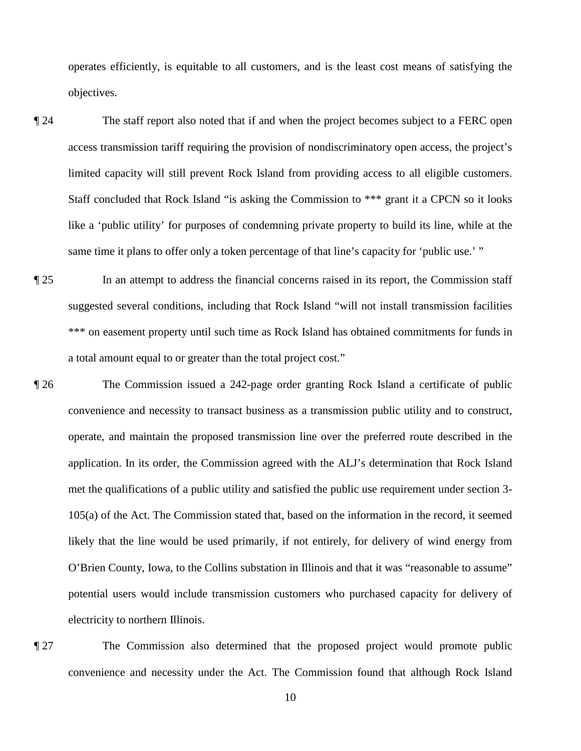operates efficiently, is equitable to all customers, and is the least cost means of satisfying the objectives.

- ¶ 24 The staff report also noted that if and when the project becomes subject to a FERC open access transmission tariff requiring the provision of nondiscriminatory open access, the project's limited capacity will still prevent Rock Island from providing access to all eligible customers. Staff concluded that Rock Island "is asking the Commission to \*\*\* grant it a CPCN so it looks like a 'public utility' for purposes of condemning private property to build its line, while at the same time it plans to offer only a token percentage of that line's capacity for 'public use.' "
- ¶ 25 In an attempt to address the financial concerns raised in its report, the Commission staff suggested several conditions, including that Rock Island "will not install transmission facilities \*\*\* on easement property until such time as Rock Island has obtained commitments for funds in a total amount equal to or greater than the total project cost."
- ¶ 26 The Commission issued a 242-page order granting Rock Island a certificate of public convenience and necessity to transact business as a transmission public utility and to construct, operate, and maintain the proposed transmission line over the preferred route described in the application. In its order, the Commission agreed with the ALJ's determination that Rock Island met the qualifications of a public utility and satisfied the public use requirement under section 3- 105(a) of the Act. The Commission stated that, based on the information in the record, it seemed likely that the line would be used primarily, if not entirely, for delivery of wind energy from O'Brien County, Iowa, to the Collins substation in Illinois and that it was "reasonable to assume" potential users would include transmission customers who purchased capacity for delivery of electricity to northern Illinois.
- 

¶ 27 The Commission also determined that the proposed project would promote public convenience and necessity under the Act. The Commission found that although Rock Island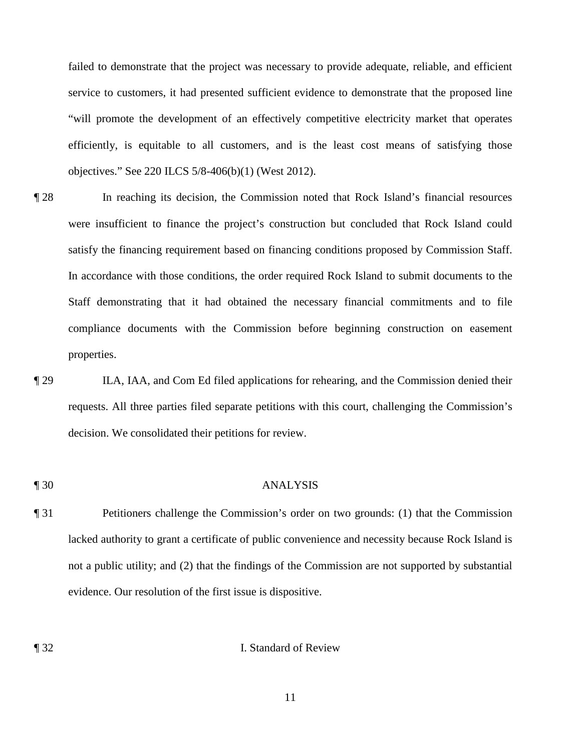failed to demonstrate that the project was necessary to provide adequate, reliable, and efficient service to customers, it had presented sufficient evidence to demonstrate that the proposed line "will promote the development of an effectively competitive electricity market that operates efficiently, is equitable to all customers, and is the least cost means of satisfying those objectives." See 220 ILCS 5/8-406(b)(1) (West 2012).

- ¶ 28 In reaching its decision, the Commission noted that Rock Island's financial resources were insufficient to finance the project's construction but concluded that Rock Island could satisfy the financing requirement based on financing conditions proposed by Commission Staff. In accordance with those conditions, the order required Rock Island to submit documents to the Staff demonstrating that it had obtained the necessary financial commitments and to file compliance documents with the Commission before beginning construction on easement properties.
- ¶ 29 ILA, IAA, and Com Ed filed applications for rehearing, and the Commission denied their requests. All three parties filed separate petitions with this court, challenging the Commission's decision. We consolidated their petitions for review.
- 

#### ¶ 30 ANALYSIS

¶ 31 Petitioners challenge the Commission's order on two grounds: (1) that the Commission lacked authority to grant a certificate of public convenience and necessity because Rock Island is not a public utility; and (2) that the findings of the Commission are not supported by substantial evidence. Our resolution of the first issue is dispositive.

¶ 32 I. Standard of Review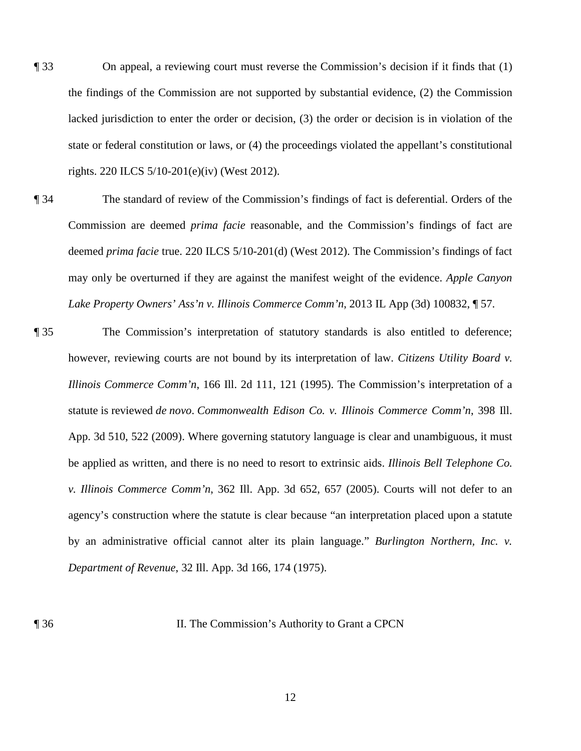- ¶ 33 On appeal, a reviewing court must reverse the Commission's decision if it finds that (1) the findings of the Commission are not supported by substantial evidence, (2) the Commission lacked jurisdiction to enter the order or decision, (3) the order or decision is in violation of the state or federal constitution or laws, or (4) the proceedings violated the appellant's constitutional rights. 220 ILCS 5/10-201(e)(iv) (West 2012).
- ¶ 34 The standard of review of the Commission's findings of fact is deferential. Orders of the Commission are deemed *prima facie* reasonable, and the Commission's findings of fact are deemed *prima facie* true. 220 ILCS 5/10-201(d) (West 2012). The Commission's findings of fact may only be overturned if they are against the manifest weight of the evidence. *Apple Canyon Lake Property Owners' Ass'n v. Illinois Commerce Comm'n*, 2013 IL App (3d) 100832, ¶ 57.
- ¶ 35 The Commission's interpretation of statutory standards is also entitled to deference; however, reviewing courts are not bound by its interpretation of law. *Citizens Utility Board v. Illinois Commerce Comm'n*, 166 Ill. 2d 111, 121 (1995). The Commission's interpretation of a statute is reviewed *de novo*. *Commonwealth Edison Co. v. Illinois Commerce Comm'n*, 398 Ill. App. 3d 510, 522 (2009). Where governing statutory language is clear and unambiguous, it must be applied as written, and there is no need to resort to extrinsic aids. *Illinois Bell Telephone Co. v. Illinois Commerce Comm'n*, 362 Ill. App. 3d 652, 657 (2005). Courts will not defer to an agency's construction where the statute is clear because "an interpretation placed upon a statute by an administrative official cannot alter its plain language." *Burlington Northern, Inc. v. Department of Revenue*, 32 Ill. App. 3d 166, 174 (1975).

¶ 36 II. The Commission's Authority to Grant a CPCN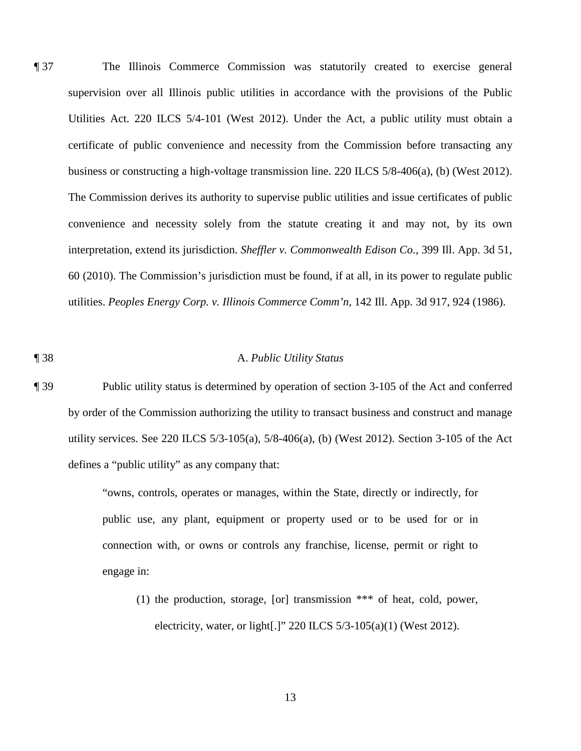¶ 37 The Illinois Commerce Commission was statutorily created to exercise general supervision over all Illinois public utilities in accordance with the provisions of the Public Utilities Act. 220 ILCS 5/4-101 (West 2012). Under the Act, a public utility must obtain a certificate of public convenience and necessity from the Commission before transacting any business or constructing a high-voltage transmission line. 220 ILCS 5/8-406(a), (b) (West 2012). The Commission derives its authority to supervise public utilities and issue certificates of public convenience and necessity solely from the statute creating it and may not, by its own interpretation, extend its jurisdiction. *Sheffler v. Commonwealth Edison Co.*, 399 Ill. App. 3d 51, 60 (2010). The Commission's jurisdiction must be found, if at all, in its power to regulate public utilities. *Peoples Energy Corp. v. Illinois Commerce Comm'n*, 142 Ill. App. 3d 917, 924 (1986).

#### ¶ 38 A. *Public Utility Status*

¶ 39 Public utility status is determined by operation of section 3-105 of the Act and conferred by order of the Commission authorizing the utility to transact business and construct and manage utility services. See 220 ILCS 5/3-105(a), 5/8-406(a), (b) (West 2012). Section 3-105 of the Act defines a "public utility" as any company that:

> "owns, controls, operates or manages, within the State, directly or indirectly, for public use, any plant, equipment or property used or to be used for or in connection with, or owns or controls any franchise, license, permit or right to engage in:

(1) the production, storage, [or] transmission \*\*\* of heat, cold, power, electricity, water, or light[.]" 220 ILCS  $5/3$ -105(a)(1) (West 2012).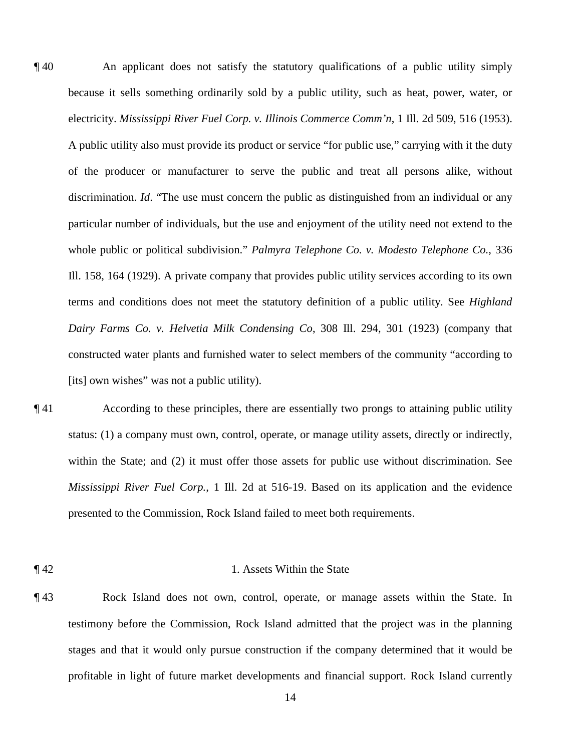because it sells something ordinarily sold by a public utility, such as heat, power, water, or electricity. *Mississippi River Fuel Corp. v. Illinois Commerce Comm'n*, 1 Ill. 2d 509, 516 (1953). A public utility also must provide its product or service "for public use," carrying with it the duty of the producer or manufacturer to serve the public and treat all persons alike, without discrimination. *Id*. "The use must concern the public as distinguished from an individual or any particular number of individuals, but the use and enjoyment of the utility need not extend to the whole public or political subdivision." *Palmyra Telephone Co. v. Modesto Telephone Co.*, 336 Ill. 158, 164 (1929). A private company that provides public utility services according to its own terms and conditions does not meet the statutory definition of a public utility. See *Highland Dairy Farms Co. v. Helvetia Milk Condensing Co*, 308 Ill. 294, 301 (1923) (company that constructed water plants and furnished water to select members of the community "according to [its] own wishes" was not a public utility).

¶ 41 According to these principles, there are essentially two prongs to attaining public utility status: (1) a company must own, control, operate, or manage utility assets, directly or indirectly, within the State; and (2) it must offer those assets for public use without discrimination. See *Mississippi River Fuel Corp.*, 1 Ill. 2d at 516-19. Based on its application and the evidence presented to the Commission, Rock Island failed to meet both requirements.

### ¶ 42 1. Assets Within the State

¶ 43 Rock Island does not own, control, operate, or manage assets within the State. In testimony before the Commission, Rock Island admitted that the project was in the planning stages and that it would only pursue construction if the company determined that it would be profitable in light of future market developments and financial support. Rock Island currently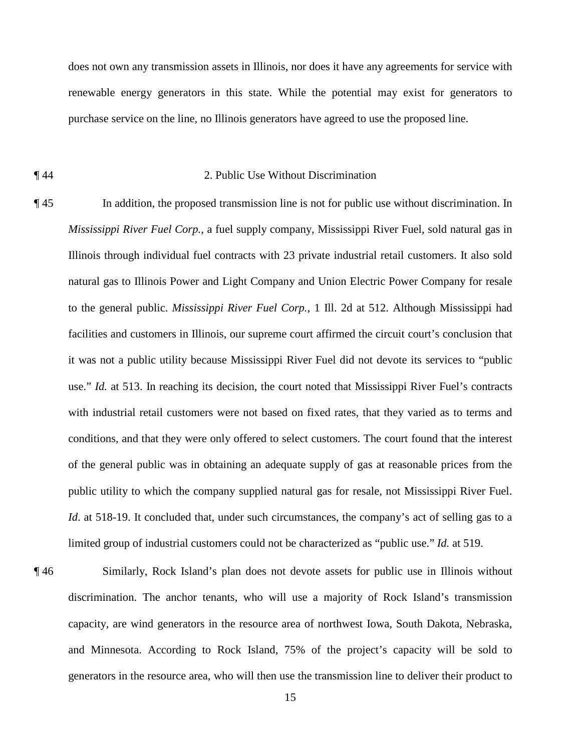does not own any transmission assets in Illinois, nor does it have any agreements for service with renewable energy generators in this state. While the potential may exist for generators to purchase service on the line, no Illinois generators have agreed to use the proposed line.

#### ¶ 44 2. Public Use Without Discrimination

¶ 45 In addition, the proposed transmission line is not for public use without discrimination. In *Mississippi River Fuel Corp.*, a fuel supply company, Mississippi River Fuel, sold natural gas in Illinois through individual fuel contracts with 23 private industrial retail customers. It also sold natural gas to Illinois Power and Light Company and Union Electric Power Company for resale to the general public. *Mississippi River Fuel Corp.*, 1 Ill. 2d at 512. Although Mississippi had facilities and customers in Illinois, our supreme court affirmed the circuit court's conclusion that it was not a public utility because Mississippi River Fuel did not devote its services to "public use." *Id.* at 513. In reaching its decision, the court noted that Mississippi River Fuel's contracts with industrial retail customers were not based on fixed rates, that they varied as to terms and conditions, and that they were only offered to select customers. The court found that the interest of the general public was in obtaining an adequate supply of gas at reasonable prices from the public utility to which the company supplied natural gas for resale, not Mississippi River Fuel. *Id.* at 518-19. It concluded that, under such circumstances, the company's act of selling gas to a limited group of industrial customers could not be characterized as "public use." *Id.* at 519.

¶ 46 Similarly, Rock Island's plan does not devote assets for public use in Illinois without discrimination. The anchor tenants, who will use a majority of Rock Island's transmission capacity, are wind generators in the resource area of northwest Iowa, South Dakota, Nebraska, and Minnesota. According to Rock Island, 75% of the project's capacity will be sold to generators in the resource area, who will then use the transmission line to deliver their product to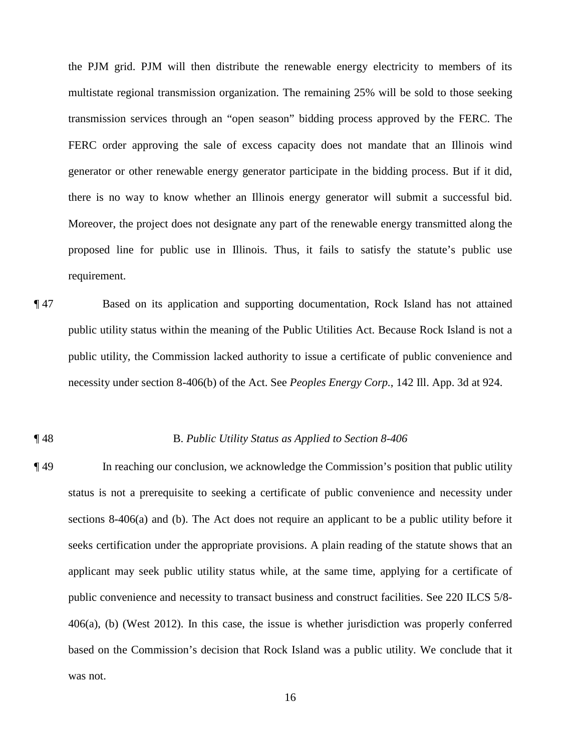the PJM grid. PJM will then distribute the renewable energy electricity to members of its multistate regional transmission organization. The remaining 25% will be sold to those seeking transmission services through an "open season" bidding process approved by the FERC. The FERC order approving the sale of excess capacity does not mandate that an Illinois wind generator or other renewable energy generator participate in the bidding process. But if it did, there is no way to know whether an Illinois energy generator will submit a successful bid. Moreover, the project does not designate any part of the renewable energy transmitted along the proposed line for public use in Illinois. Thus, it fails to satisfy the statute's public use requirement.

¶ 47 Based on its application and supporting documentation, Rock Island has not attained public utility status within the meaning of the Public Utilities Act. Because Rock Island is not a public utility, the Commission lacked authority to issue a certificate of public convenience and necessity under section 8-406(b) of the Act. See *Peoples Energy Corp.*, 142 Ill. App. 3d at 924.

#### ¶ 48 B. *Public Utility Status as Applied to Section 8-406*

¶ 49 In reaching our conclusion, we acknowledge the Commission's position that public utility status is not a prerequisite to seeking a certificate of public convenience and necessity under sections 8-406(a) and (b). The Act does not require an applicant to be a public utility before it seeks certification under the appropriate provisions. A plain reading of the statute shows that an applicant may seek public utility status while, at the same time, applying for a certificate of public convenience and necessity to transact business and construct facilities. See 220 ILCS 5/8- 406(a), (b) (West 2012). In this case, the issue is whether jurisdiction was properly conferred based on the Commission's decision that Rock Island was a public utility. We conclude that it was not.